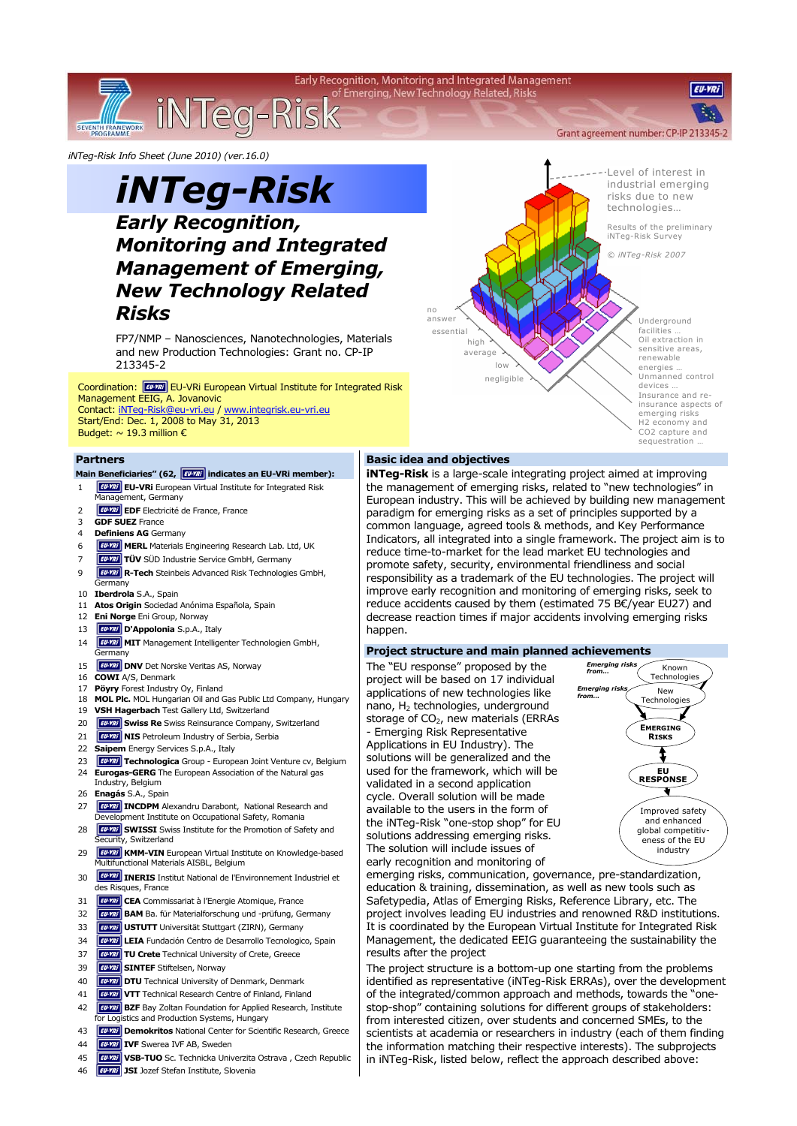

*iNTeg-Risk Info Sheet (June 2010) (ver.16.0)* 

# *iNTeg-Risk Early Recognition, Monitoring and Integrated Management of Emerging, New Technology Related Risks*

FP7/NMP – Nanosciences, Nanotechnologies, Materials and new Production Technologies: Grant no. CP-IP 213345-2

Coordination: [WWW] EU-VRI European Virtual Institute for Integrated Risk Management EEIG, A. Jovanovic Contact: iNTeg-Risk@eu-vri.eu / www.integrisk.eu-vri.eu

Start/End: Dec. 1, 2008 to May 31, 2013 Budget:  $\sim$  19.3 million  $\epsilon$ 

#### **Partners**

## Main Beneficiaries" (62, **inter all an** indicates an EU-VRi member):

- 1 **EU-VRI** EU-VRI European Virtual Institute for Integrated Risk
- Management, Germany 2 **EU-VIV** EDF Electricité de France, France
- 
- 3 **GDF SUEZ** France **Definiens AG** Germany
- 
- 6 **FUNI MERL** Materials Engineering Research Lab. Ltd, UK
- 7 **TÜV** SÜD Industrie Service GmbH, Germany 9 **R-Tech** Steinbeis Advanced Risk Technologies GmbH, Germany
- 10 **Iberdrola** S.A., Spain
- 11 **Atos Origin** Sociedad Anónima Española, Spain
- 12 **Eni Norge** Eni Group, Norway
- 13 **D'Appolonia** S.p.A., Italy
- 14 **WIT MIT Management Intelligenter Technologien GmbH,** ermany
- 15 **EU-YRI** DNV Det Norske Veritas AS, Norway
- 16 **COWI** A/S, Denmark
- 17 **Pöyry** Forest Industry Oy, Finland
- 18 **MOL Plc.** MOL Hungarian Oil and Gas Public Ltd Company, Hungary
- 19 **VSH Hagerbach** Test Gallery Ltd, Switzerland
- 20 **Funni** Swiss Re Swiss Reinsurance Company, Switzerland
- 21 **FUNIT NIS** Petroleum Industry of Serbia, Serbia
- 22 **Saipem** Energy Services S.p.A., Italy
- 23 **Fu-YRI** Technologica Group European Joint Venture cv, Belgium 24 **Eurogas-GERG** The European Association of the Natural gas
- Industry, Belgium 26 **Enagás** S.A., Spain
- 27 **IV ALG AVE ALEXANDREY METABOLIC PROPIDED AT A THROUGHT AND INCOPPM** Alexandru Darabont, National Research and Development Institute on Occupational Safety, Romania
- 28 **FILMITY IN SWISSI** Swiss Institute for the Promotion of Safety and ecurity, Switzerland
- 29 **Furni KMM-VIN** European Virtual Institute on Knowledge-based Multifunctional Materials AISBL, Belgium
- 30 **IUMERIS** Institut National de l'Environnement Industriel et des Risques, France
- 31 **CEA** Commissariat à l'Energie Atomique, France
- 32 **BAM** Ba. für Materialforschung und -prüfung, Germany
- 33 **USTUTT** Universität Stuttgart (ZIRN), Germany
- 34 **LEIA** Fundación Centro de Desarrollo Tecnologico, Spain
- 37 **TU Crete** Technical University of Crete, Greece
- 39 **FU-YRI** SINTEF Stiftelsen, Norway
- 40 **CUVING** DTU Technical University of Denmark, Denmark
- 41 **VTT** Technical Research Centre of Finland, Finland
- 42 **BZF** Bay Zoltan Foundation for Applied Research, Institute **For Logistics and Production Systems, Hungary**
- 43 **Demokritos** National Center for Scientific Research, Greece
- 44 **IFU-YRI IVF** Swerea IVF AB, Sweden
- 45 **WWW VSB-TUO** Sc. Technicka Univerzita Ostrava, Czech Republic
- 46 **JSI** Jozef Stefan Institute, Slovenia



### **Basic idea and objectives**

**iNTeg-Risk** is a large-scale integrating project aimed at improving the management of emerging risks, related to "new technologies" in European industry. This will be achieved by building new management paradigm for emerging risks as a set of principles supported by a common language, agreed tools & methods, and Key Performance Indicators, all integrated into a single framework. The project aim is to reduce time-to-market for the lead market EU technologies and promote safety, security, environmental friendliness and social responsibility as a trademark of the EU technologies. The project will improve early recognition and monitoring of emerging risks, seek to reduce accidents caused by them (estimated 75 B€/year EU27) and decrease reaction times if major accidents involving emerging risks hannen.

#### **Project structure and main planned achievements**

The "EU response" proposed by the project will be based on 17 individual applications of new technologies like nano, H2 technologies, underground storage of CO<sub>2</sub>, new materials (ERRAs - Emerging Risk Representative Applications in EU Industry). The solutions will be generalized and the used for the framework, which will be validated in a second application cycle. Overall solution will be made available to the users in the form of the iNTeg-Risk "one-stop shop" for EU solutions addressing emerging risks. The solution will include issues of early recognition and monitoring of



emerging risks, communication, governance, pre-standardization, education & training, dissemination, as well as new tools such as Safetypedia, Atlas of Emerging Risks, Reference Library, etc. The project involves leading EU industries and renowned R&D institutions. It is coordinated by the European Virtual Institute for Integrated Risk Management, the dedicated EEIG guaranteeing the sustainability the results after the project

The project structure is a bottom-up one starting from the problems identified as representative (iNTeg-Risk ERRAs), over the development of the integrated/common approach and methods, towards the "onestop-shop" containing solutions for different groups of stakeholders: from interested citizen, over students and concerned SMEs, to the scientists at academia or researchers in industry (each of them finding the information matching their respective interests). The subprojects in iNTeg-Risk, listed below, reflect the approach described above: